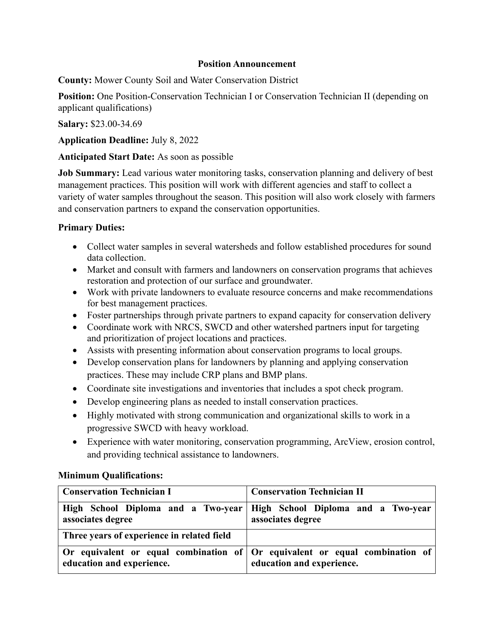## **Position Announcement**

**County:** Mower County Soil and Water Conservation District

**Position:** One Position-Conservation Technician I or Conservation Technician II (depending on applicant qualifications)

**Salary:** \$23.00-34.69

**Application Deadline:** July 8, 2022

## **Anticipated Start Date:** As soon as possible

**Job Summary:** Lead various water monitoring tasks, conservation planning and delivery of best management practices. This position will work with different agencies and staff to collect a variety of water samples throughout the season. This position will also work closely with farmers and conservation partners to expand the conservation opportunities.

## **Primary Duties:**

- Collect water samples in several watersheds and follow established procedures for sound data collection.
- Market and consult with farmers and landowners on conservation programs that achieves restoration and protection of our surface and groundwater.
- Work with private landowners to evaluate resource concerns and make recommendations for best management practices.
- Foster partnerships through private partners to expand capacity for conservation delivery
- Coordinate work with NRCS, SWCD and other watershed partners input for targeting and prioritization of project locations and practices.
- Assists with presenting information about conservation programs to local groups.
- Develop conservation plans for landowners by planning and applying conservation practices. These may include CRP plans and BMP plans.
- Coordinate site investigations and inventories that includes a spot check program.
- Develop engineering plans as needed to install conservation practices.
- Highly motivated with strong communication and organizational skills to work in a progressive SWCD with heavy workload.
- Experience with water monitoring, conservation programming, ArcView, erosion control, and providing technical assistance to landowners.

## **Minimum Qualifications:**

| <b>Conservation Technician I</b>           | <b>Conservation Technician II</b>                                                                                       |
|--------------------------------------------|-------------------------------------------------------------------------------------------------------------------------|
| associates degree                          | High School Diploma and a Two-year   High School Diploma and a Two-year<br>associates degree                            |
| Three years of experience in related field |                                                                                                                         |
| education and experience.                  | Or equivalent or equal combination of $\overline{O}$ or equivalent or equal combination of<br>education and experience. |